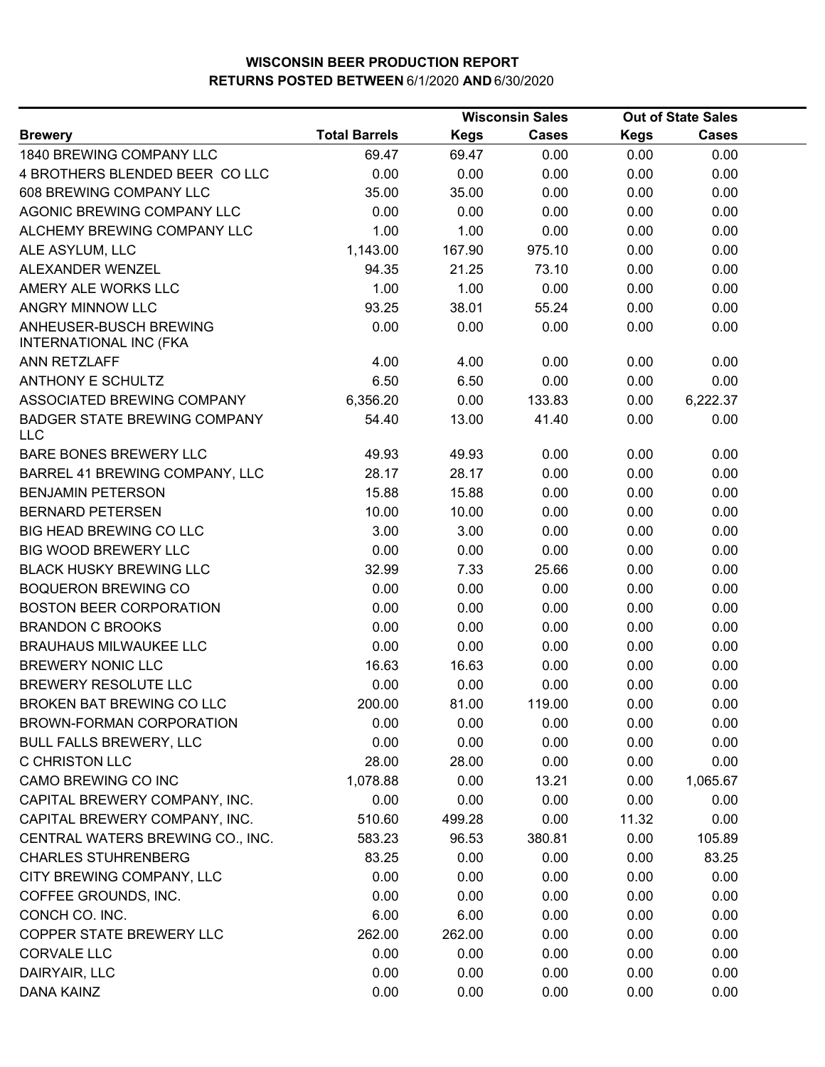|                                                         |                      |             | <b>Wisconsin Sales</b> | <b>Out of State Sales</b> |              |  |
|---------------------------------------------------------|----------------------|-------------|------------------------|---------------------------|--------------|--|
| <b>Brewery</b>                                          | <b>Total Barrels</b> | <b>Kegs</b> | <b>Cases</b>           | <b>Kegs</b>               | <b>Cases</b> |  |
| 1840 BREWING COMPANY LLC                                | 69.47                | 69.47       | 0.00                   | 0.00                      | 0.00         |  |
| 4 BROTHERS BLENDED BEER COLLC                           | 0.00                 | 0.00        | 0.00                   | 0.00                      | 0.00         |  |
| 608 BREWING COMPANY LLC                                 | 35.00                | 35.00       | 0.00                   | 0.00                      | 0.00         |  |
| AGONIC BREWING COMPANY LLC                              | 0.00                 | 0.00        | 0.00                   | 0.00                      | 0.00         |  |
| ALCHEMY BREWING COMPANY LLC                             | 1.00                 | 1.00        | 0.00                   | 0.00                      | 0.00         |  |
| ALE ASYLUM, LLC                                         | 1,143.00             | 167.90      | 975.10                 | 0.00                      | 0.00         |  |
| ALEXANDER WENZEL                                        | 94.35                | 21.25       | 73.10                  | 0.00                      | 0.00         |  |
| AMERY ALE WORKS LLC                                     | 1.00                 | 1.00        | 0.00                   | 0.00                      | 0.00         |  |
| ANGRY MINNOW LLC                                        | 93.25                | 38.01       | 55.24                  | 0.00                      | 0.00         |  |
| ANHEUSER-BUSCH BREWING<br><b>INTERNATIONAL INC (FKA</b> | 0.00                 | 0.00        | 0.00                   | 0.00                      | 0.00         |  |
| <b>ANN RETZLAFF</b>                                     | 4.00                 | 4.00        | 0.00                   | 0.00                      | 0.00         |  |
| <b>ANTHONY E SCHULTZ</b>                                | 6.50                 | 6.50        | 0.00                   | 0.00                      | 0.00         |  |
| ASSOCIATED BREWING COMPANY                              | 6,356.20             | 0.00        | 133.83                 | 0.00                      | 6,222.37     |  |
| <b>BADGER STATE BREWING COMPANY</b><br><b>LLC</b>       | 54.40                | 13.00       | 41.40                  | 0.00                      | 0.00         |  |
| <b>BARE BONES BREWERY LLC</b>                           | 49.93                | 49.93       | 0.00                   | 0.00                      | 0.00         |  |
| BARREL 41 BREWING COMPANY, LLC                          | 28.17                | 28.17       | 0.00                   | 0.00                      | 0.00         |  |
| <b>BENJAMIN PETERSON</b>                                | 15.88                | 15.88       | 0.00                   | 0.00                      | 0.00         |  |
| <b>BERNARD PETERSEN</b>                                 | 10.00                | 10.00       | 0.00                   | 0.00                      | 0.00         |  |
| <b>BIG HEAD BREWING CO LLC</b>                          | 3.00                 | 3.00        | 0.00                   | 0.00                      | 0.00         |  |
| <b>BIG WOOD BREWERY LLC</b>                             | 0.00                 | 0.00        | 0.00                   | 0.00                      | 0.00         |  |
| <b>BLACK HUSKY BREWING LLC</b>                          | 32.99                | 7.33        | 25.66                  | 0.00                      | 0.00         |  |
| <b>BOQUERON BREWING CO</b>                              | 0.00                 | 0.00        | 0.00                   | 0.00                      | 0.00         |  |
| <b>BOSTON BEER CORPORATION</b>                          | 0.00                 | 0.00        | 0.00                   | 0.00                      | 0.00         |  |
| <b>BRANDON C BROOKS</b>                                 | 0.00                 | 0.00        | 0.00                   | 0.00                      | 0.00         |  |
| <b>BRAUHAUS MILWAUKEE LLC</b>                           | 0.00                 | 0.00        | 0.00                   | 0.00                      | 0.00         |  |
| <b>BREWERY NONIC LLC</b>                                | 16.63                | 16.63       | 0.00                   | 0.00                      | 0.00         |  |
| <b>BREWERY RESOLUTE LLC</b>                             | 0.00                 | 0.00        | 0.00                   | 0.00                      | 0.00         |  |
| <b>BROKEN BAT BREWING CO LLC</b>                        | 200.00               | 81.00       | 119.00                 | 0.00                      | 0.00         |  |
| BROWN-FORMAN CORPORATION                                | 0.00                 | 0.00        | 0.00                   | 0.00                      | 0.00         |  |
| <b>BULL FALLS BREWERY, LLC</b>                          | 0.00                 | 0.00        | 0.00                   | 0.00                      | 0.00         |  |
| <b>C CHRISTON LLC</b>                                   | 28.00                | 28.00       | 0.00                   | 0.00                      | 0.00         |  |
| CAMO BREWING CO INC                                     | 1,078.88             | 0.00        | 13.21                  | 0.00                      | 1,065.67     |  |
| CAPITAL BREWERY COMPANY, INC.                           | 0.00                 | 0.00        | 0.00                   | 0.00                      | 0.00         |  |
| CAPITAL BREWERY COMPANY, INC.                           | 510.60               | 499.28      | 0.00                   | 11.32                     | 0.00         |  |
| CENTRAL WATERS BREWING CO., INC.                        | 583.23               | 96.53       | 380.81                 | 0.00                      | 105.89       |  |
| <b>CHARLES STUHRENBERG</b>                              | 83.25                | 0.00        | 0.00                   | 0.00                      | 83.25        |  |
| CITY BREWING COMPANY, LLC                               | 0.00                 | 0.00        | 0.00                   | 0.00                      | 0.00         |  |
| COFFEE GROUNDS, INC.                                    | 0.00                 | 0.00        | 0.00                   | 0.00                      | 0.00         |  |
| CONCH CO. INC.                                          | 6.00                 | 6.00        | 0.00                   | 0.00                      | 0.00         |  |
| COPPER STATE BREWERY LLC                                | 262.00               | 262.00      | 0.00                   | 0.00                      | 0.00         |  |
| <b>CORVALE LLC</b>                                      | 0.00                 | 0.00        | 0.00                   | 0.00                      | 0.00         |  |
| DAIRYAIR, LLC                                           | 0.00                 | 0.00        | 0.00                   | 0.00                      | 0.00         |  |
| <b>DANA KAINZ</b>                                       | 0.00                 | 0.00        | 0.00                   | 0.00                      | 0.00         |  |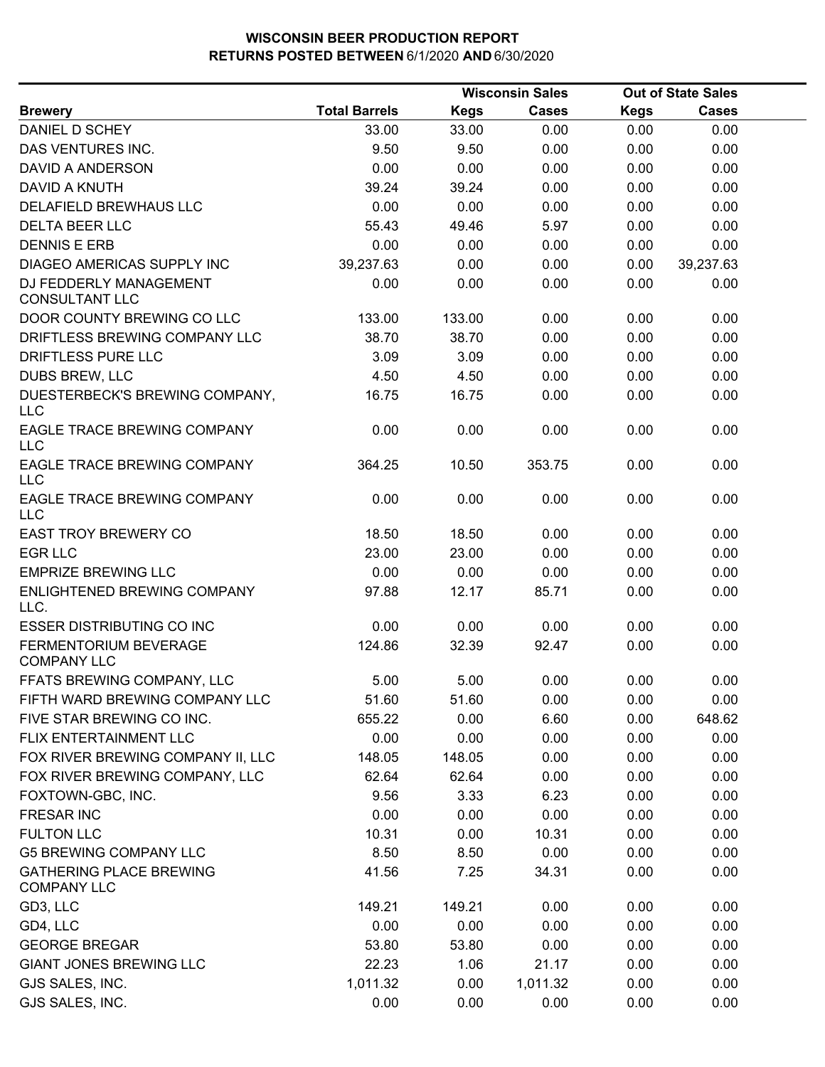|                                                      |                      |             | <b>Wisconsin Sales</b> |             | <b>Out of State Sales</b> |  |
|------------------------------------------------------|----------------------|-------------|------------------------|-------------|---------------------------|--|
| <b>Brewery</b>                                       | <b>Total Barrels</b> | <b>Kegs</b> | <b>Cases</b>           | <b>Kegs</b> | <b>Cases</b>              |  |
| DANIEL D SCHEY                                       | 33.00                | 33.00       | 0.00                   | 0.00        | 0.00                      |  |
| DAS VENTURES INC.                                    | 9.50                 | 9.50        | 0.00                   | 0.00        | 0.00                      |  |
| DAVID A ANDERSON                                     | 0.00                 | 0.00        | 0.00                   | 0.00        | 0.00                      |  |
| DAVID A KNUTH                                        | 39.24                | 39.24       | 0.00                   | 0.00        | 0.00                      |  |
| DELAFIELD BREWHAUS LLC                               | 0.00                 | 0.00        | 0.00                   | 0.00        | 0.00                      |  |
| <b>DELTA BEER LLC</b>                                | 55.43                | 49.46       | 5.97                   | 0.00        | 0.00                      |  |
| <b>DENNIS E ERB</b>                                  | 0.00                 | 0.00        | 0.00                   | 0.00        | 0.00                      |  |
| DIAGEO AMERICAS SUPPLY INC                           | 39,237.63            | 0.00        | 0.00                   | 0.00        | 39,237.63                 |  |
| DJ FEDDERLY MANAGEMENT<br><b>CONSULTANT LLC</b>      | 0.00                 | 0.00        | 0.00                   | 0.00        | 0.00                      |  |
| DOOR COUNTY BREWING CO LLC                           | 133.00               | 133.00      | 0.00                   | 0.00        | 0.00                      |  |
| DRIFTLESS BREWING COMPANY LLC                        | 38.70                | 38.70       | 0.00                   | 0.00        | 0.00                      |  |
| DRIFTLESS PURE LLC                                   | 3.09                 | 3.09        | 0.00                   | 0.00        | 0.00                      |  |
| DUBS BREW, LLC                                       | 4.50                 | 4.50        | 0.00                   | 0.00        | 0.00                      |  |
| DUESTERBECK'S BREWING COMPANY,<br><b>LLC</b>         | 16.75                | 16.75       | 0.00                   | 0.00        | 0.00                      |  |
| EAGLE TRACE BREWING COMPANY<br><b>LLC</b>            | 0.00                 | 0.00        | 0.00                   | 0.00        | 0.00                      |  |
| EAGLE TRACE BREWING COMPANY<br><b>LLC</b>            | 364.25               | 10.50       | 353.75                 | 0.00        | 0.00                      |  |
| EAGLE TRACE BREWING COMPANY<br><b>LLC</b>            | 0.00                 | 0.00        | 0.00                   | 0.00        | 0.00                      |  |
| <b>EAST TROY BREWERY CO</b>                          | 18.50                | 18.50       | 0.00                   | 0.00        | 0.00                      |  |
| <b>EGR LLC</b>                                       | 23.00                | 23.00       | 0.00                   | 0.00        | 0.00                      |  |
| <b>EMPRIZE BREWING LLC</b>                           | 0.00                 | 0.00        | 0.00                   | 0.00        | 0.00                      |  |
| ENLIGHTENED BREWING COMPANY<br>LLC.                  | 97.88                | 12.17       | 85.71                  | 0.00        | 0.00                      |  |
| <b>ESSER DISTRIBUTING CO INC</b>                     | 0.00                 | 0.00        | 0.00                   | 0.00        | 0.00                      |  |
| FERMENTORIUM BEVERAGE<br><b>COMPANY LLC</b>          | 124.86               | 32.39       | 92.47                  | 0.00        | 0.00                      |  |
| FFATS BREWING COMPANY, LLC                           | 5.00                 | 5.00        | 0.00                   | 0.00        | 0.00                      |  |
| FIFTH WARD BREWING COMPANY LLC                       | 51.60                | 51.60       | 0.00                   | 0.00        | 0.00                      |  |
| FIVE STAR BREWING CO INC.                            | 655.22               | 0.00        | 6.60                   | 0.00        | 648.62                    |  |
| FLIX ENTERTAINMENT LLC                               | 0.00                 | 0.00        | 0.00                   | 0.00        | 0.00                      |  |
| FOX RIVER BREWING COMPANY II, LLC                    | 148.05               | 148.05      | 0.00                   | 0.00        | 0.00                      |  |
| FOX RIVER BREWING COMPANY, LLC                       | 62.64                | 62.64       | 0.00                   | 0.00        | 0.00                      |  |
| FOXTOWN-GBC, INC.                                    | 9.56                 | 3.33        | 6.23                   | 0.00        | 0.00                      |  |
| <b>FRESAR INC</b>                                    | 0.00                 | 0.00        | 0.00                   | 0.00        | 0.00                      |  |
| <b>FULTON LLC</b>                                    | 10.31                | 0.00        | 10.31                  | 0.00        | 0.00                      |  |
| <b>G5 BREWING COMPANY LLC</b>                        | 8.50                 | 8.50        | 0.00                   | 0.00        | 0.00                      |  |
| <b>GATHERING PLACE BREWING</b><br><b>COMPANY LLC</b> | 41.56                | 7.25        | 34.31                  | 0.00        | 0.00                      |  |
| GD3, LLC                                             | 149.21               | 149.21      | 0.00                   | 0.00        | 0.00                      |  |
| GD4, LLC                                             | 0.00                 | 0.00        | 0.00                   | 0.00        | 0.00                      |  |
| <b>GEORGE BREGAR</b>                                 | 53.80                | 53.80       | 0.00                   | 0.00        | 0.00                      |  |
| <b>GIANT JONES BREWING LLC</b>                       | 22.23                | 1.06        | 21.17                  | 0.00        | 0.00                      |  |
| GJS SALES, INC.                                      | 1,011.32             | 0.00        | 1,011.32               | 0.00        | 0.00                      |  |
| GJS SALES, INC.                                      | 0.00                 | 0.00        | 0.00                   | 0.00        | 0.00                      |  |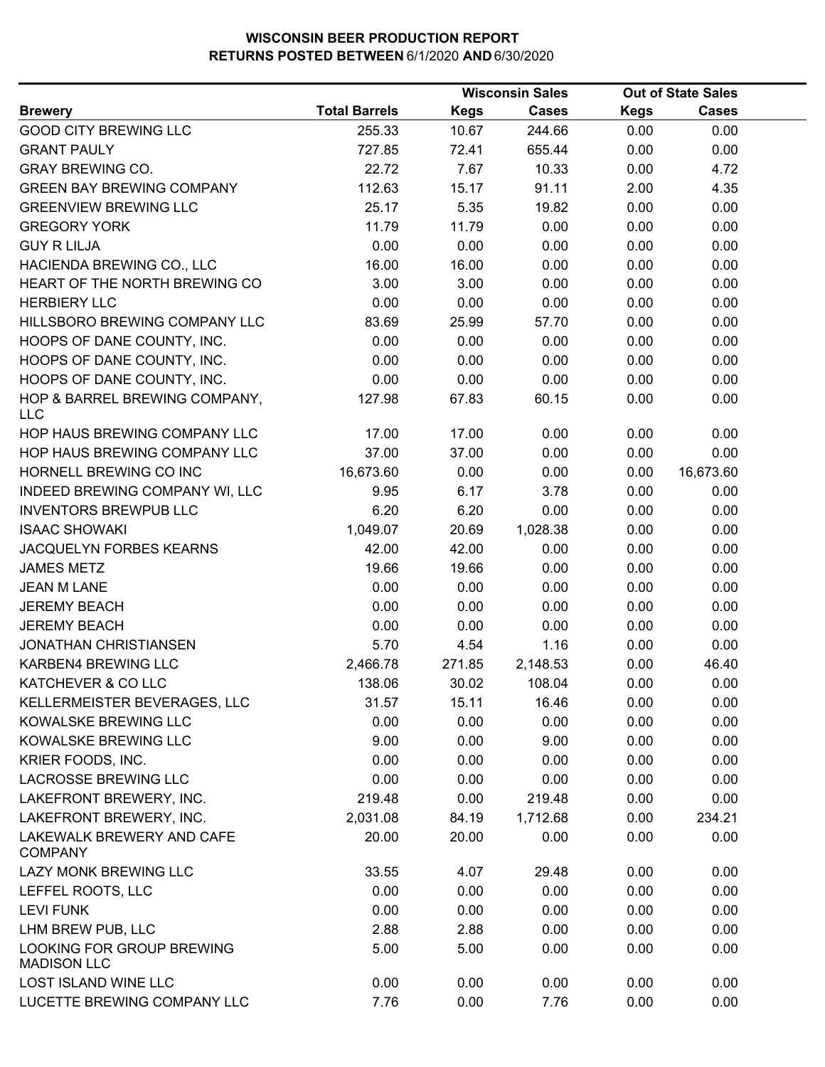|                                                 |                      |             | <b>Wisconsin Sales</b> |             | <b>Out of State Sales</b> |  |
|-------------------------------------------------|----------------------|-------------|------------------------|-------------|---------------------------|--|
| <b>Brewery</b>                                  | <b>Total Barrels</b> | <b>Kegs</b> | <b>Cases</b>           | <b>Kegs</b> | <b>Cases</b>              |  |
| <b>GOOD CITY BREWING LLC</b>                    | 255.33               | 10.67       | 244.66                 | 0.00        | 0.00                      |  |
| <b>GRANT PAULY</b>                              | 727.85               | 72.41       | 655.44                 | 0.00        | 0.00                      |  |
| <b>GRAY BREWING CO.</b>                         | 22.72                | 7.67        | 10.33                  | 0.00        | 4.72                      |  |
| <b>GREEN BAY BREWING COMPANY</b>                | 112.63               | 15.17       | 91.11                  | 2.00        | 4.35                      |  |
| <b>GREENVIEW BREWING LLC</b>                    | 25.17                | 5.35        | 19.82                  | 0.00        | 0.00                      |  |
| <b>GREGORY YORK</b>                             | 11.79                | 11.79       | 0.00                   | 0.00        | 0.00                      |  |
| <b>GUY R LILJA</b>                              | 0.00                 | 0.00        | 0.00                   | 0.00        | 0.00                      |  |
| HACIENDA BREWING CO., LLC                       | 16.00                | 16.00       | 0.00                   | 0.00        | 0.00                      |  |
| HEART OF THE NORTH BREWING CO                   | 3.00                 | 3.00        | 0.00                   | 0.00        | 0.00                      |  |
| <b>HERBIERY LLC</b>                             | 0.00                 | 0.00        | 0.00                   | 0.00        | 0.00                      |  |
| HILLSBORO BREWING COMPANY LLC                   | 83.69                | 25.99       | 57.70                  | 0.00        | 0.00                      |  |
| HOOPS OF DANE COUNTY, INC.                      | 0.00                 | 0.00        | 0.00                   | 0.00        | 0.00                      |  |
| HOOPS OF DANE COUNTY, INC.                      | 0.00                 | 0.00        | 0.00                   | 0.00        | 0.00                      |  |
| HOOPS OF DANE COUNTY, INC.                      | 0.00                 | 0.00        | 0.00                   | 0.00        | 0.00                      |  |
| HOP & BARREL BREWING COMPANY,<br><b>LLC</b>     | 127.98               | 67.83       | 60.15                  | 0.00        | 0.00                      |  |
| HOP HAUS BREWING COMPANY LLC                    | 17.00                | 17.00       | 0.00                   | 0.00        | 0.00                      |  |
| HOP HAUS BREWING COMPANY LLC                    | 37.00                | 37.00       | 0.00                   | 0.00        | 0.00                      |  |
| HORNELL BREWING CO INC                          | 16,673.60            | 0.00        | 0.00                   | 0.00        | 16,673.60                 |  |
| INDEED BREWING COMPANY WI, LLC                  | 9.95                 | 6.17        | 3.78                   | 0.00        | 0.00                      |  |
| <b>INVENTORS BREWPUB LLC</b>                    | 6.20                 | 6.20        | 0.00                   | 0.00        | 0.00                      |  |
| <b>ISAAC SHOWAKI</b>                            | 1,049.07             | 20.69       | 1,028.38               | 0.00        | 0.00                      |  |
| JACQUELYN FORBES KEARNS                         | 42.00                | 42.00       | 0.00                   | 0.00        | 0.00                      |  |
| <b>JAMES METZ</b>                               | 19.66                | 19.66       | 0.00                   | 0.00        | 0.00                      |  |
| <b>JEAN M LANE</b>                              | 0.00                 | 0.00        | 0.00                   | 0.00        | 0.00                      |  |
| <b>JEREMY BEACH</b>                             | 0.00                 | 0.00        | 0.00                   | 0.00        | 0.00                      |  |
| <b>JEREMY BEACH</b>                             | 0.00                 | 0.00        | 0.00                   | 0.00        | 0.00                      |  |
| <b>JONATHAN CHRISTIANSEN</b>                    | 5.70                 | 4.54        | 1.16                   | 0.00        | 0.00                      |  |
| KARBEN4 BREWING LLC                             | 2,466.78             | 271.85      | 2,148.53               | 0.00        | 46.40                     |  |
| KATCHEVER & CO LLC                              | 138.06               | 30.02       | 108.04                 | 0.00        | 0.00                      |  |
| KELLERMEISTER BEVERAGES, LLC                    | 31.57                | 15.11       | 16.46                  | 0.00        | 0.00                      |  |
| KOWALSKE BREWING LLC                            | 0.00                 | 0.00        | 0.00                   | 0.00        | 0.00                      |  |
| KOWALSKE BREWING LLC                            | 9.00                 | 0.00        | 9.00                   | 0.00        | 0.00                      |  |
| KRIER FOODS, INC.                               | 0.00                 | 0.00        | 0.00                   | 0.00        | 0.00                      |  |
| <b>LACROSSE BREWING LLC</b>                     | 0.00                 | 0.00        | 0.00                   | 0.00        | 0.00                      |  |
| LAKEFRONT BREWERY, INC.                         | 219.48               | 0.00        | 219.48                 | 0.00        | 0.00                      |  |
| LAKEFRONT BREWERY, INC.                         | 2,031.08             | 84.19       | 1,712.68               | 0.00        | 234.21                    |  |
| LAKEWALK BREWERY AND CAFE<br><b>COMPANY</b>     | 20.00                | 20.00       | 0.00                   | 0.00        | 0.00                      |  |
| LAZY MONK BREWING LLC                           | 33.55                | 4.07        | 29.48                  | 0.00        | 0.00                      |  |
| LEFFEL ROOTS, LLC                               | 0.00                 | 0.00        | 0.00                   | 0.00        | 0.00                      |  |
| <b>LEVI FUNK</b>                                | 0.00                 | 0.00        | 0.00                   | 0.00        | 0.00                      |  |
| LHM BREW PUB, LLC                               | 2.88                 | 2.88        | 0.00                   | 0.00        | 0.00                      |  |
| LOOKING FOR GROUP BREWING<br><b>MADISON LLC</b> | 5.00                 | 5.00        | 0.00                   | 0.00        | 0.00                      |  |
| LOST ISLAND WINE LLC                            | 0.00                 | 0.00        | 0.00                   | 0.00        | 0.00                      |  |
| LUCETTE BREWING COMPANY LLC                     | 7.76                 | 0.00        | 7.76                   | 0.00        | 0.00                      |  |
|                                                 |                      |             |                        |             |                           |  |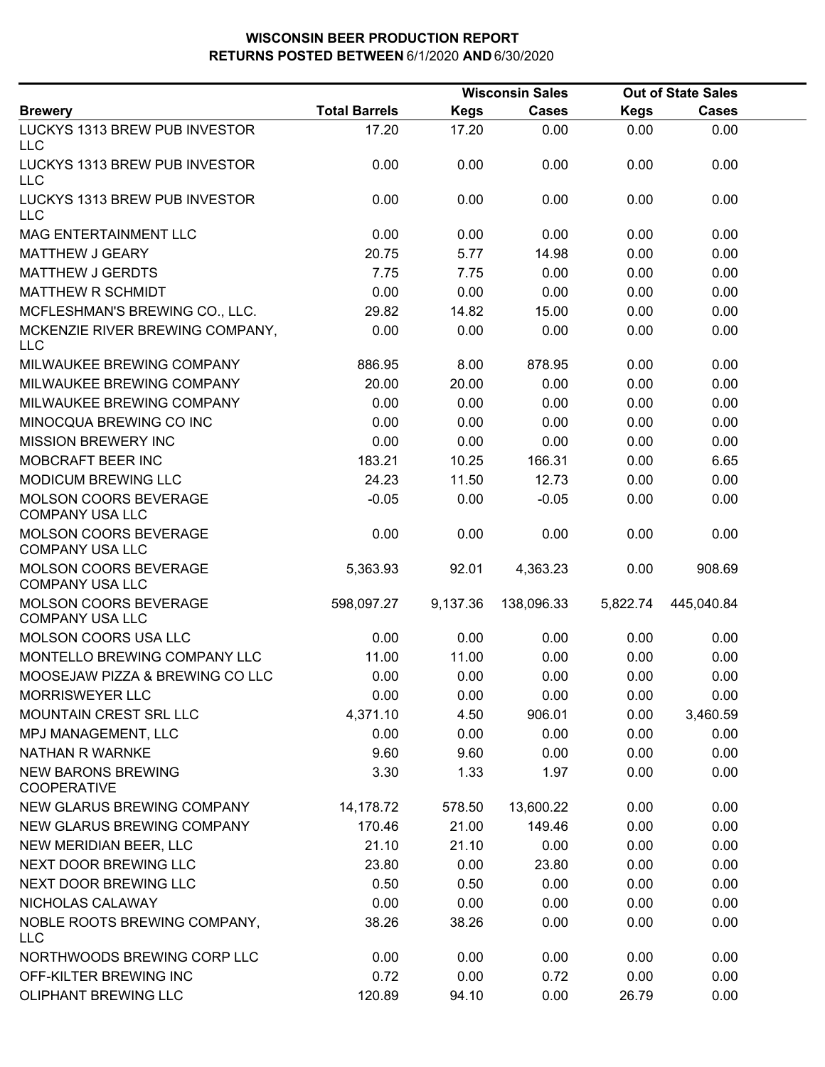|                                                        |                      |             | <b>Wisconsin Sales</b> |             | <b>Out of State Sales</b> |  |
|--------------------------------------------------------|----------------------|-------------|------------------------|-------------|---------------------------|--|
| <b>Brewery</b>                                         | <b>Total Barrels</b> | <b>Kegs</b> | <b>Cases</b>           | <b>Kegs</b> | <b>Cases</b>              |  |
| LUCKYS 1313 BREW PUB INVESTOR<br>LLC                   | 17.20                | 17.20       | 0.00                   | 0.00        | 0.00                      |  |
| LUCKYS 1313 BREW PUB INVESTOR<br><b>LLC</b>            | 0.00                 | 0.00        | 0.00                   | 0.00        | 0.00                      |  |
| LUCKYS 1313 BREW PUB INVESTOR<br><b>LLC</b>            | 0.00                 | 0.00        | 0.00                   | 0.00        | 0.00                      |  |
| <b>MAG ENTERTAINMENT LLC</b>                           | 0.00                 | 0.00        | 0.00                   | 0.00        | 0.00                      |  |
| MATTHEW J GEARY                                        | 20.75                | 5.77        | 14.98                  | 0.00        | 0.00                      |  |
| <b>MATTHEW J GERDTS</b>                                | 7.75                 | 7.75        | 0.00                   | 0.00        | 0.00                      |  |
| <b>MATTHEW R SCHMIDT</b>                               | 0.00                 | 0.00        | 0.00                   | 0.00        | 0.00                      |  |
| MCFLESHMAN'S BREWING CO., LLC.                         | 29.82                | 14.82       | 15.00                  | 0.00        | 0.00                      |  |
| MCKENZIE RIVER BREWING COMPANY,<br><b>LLC</b>          | 0.00                 | 0.00        | 0.00                   | 0.00        | 0.00                      |  |
| MILWAUKEE BREWING COMPANY                              | 886.95               | 8.00        | 878.95                 | 0.00        | 0.00                      |  |
| MILWAUKEE BREWING COMPANY                              | 20.00                | 20.00       | 0.00                   | 0.00        | 0.00                      |  |
| MILWAUKEE BREWING COMPANY                              | 0.00                 | 0.00        | 0.00                   | 0.00        | 0.00                      |  |
| MINOCQUA BREWING CO INC                                | 0.00                 | 0.00        | 0.00                   | 0.00        | 0.00                      |  |
| <b>MISSION BREWERY INC</b>                             | 0.00                 | 0.00        | 0.00                   | 0.00        | 0.00                      |  |
| MOBCRAFT BEER INC                                      | 183.21               | 10.25       | 166.31                 | 0.00        | 6.65                      |  |
| <b>MODICUM BREWING LLC</b>                             | 24.23                | 11.50       | 12.73                  | 0.00        | 0.00                      |  |
| <b>MOLSON COORS BEVERAGE</b><br><b>COMPANY USA LLC</b> | $-0.05$              | 0.00        | $-0.05$                | 0.00        | 0.00                      |  |
| MOLSON COORS BEVERAGE<br><b>COMPANY USA LLC</b>        | 0.00                 | 0.00        | 0.00                   | 0.00        | 0.00                      |  |
| MOLSON COORS BEVERAGE<br><b>COMPANY USA LLC</b>        | 5,363.93             | 92.01       | 4,363.23               | 0.00        | 908.69                    |  |
| MOLSON COORS BEVERAGE<br><b>COMPANY USA LLC</b>        | 598,097.27           | 9,137.36    | 138,096.33             | 5,822.74    | 445,040.84                |  |
| MOLSON COORS USA LLC                                   | 0.00                 | 0.00        | 0.00                   | 0.00        | 0.00                      |  |
| MONTELLO BREWING COMPANY LLC                           | 11.00                | 11.00       | 0.00                   | 0.00        | 0.00                      |  |
| MOOSEJAW PIZZA & BREWING CO LLC                        | 0.00                 | 0.00        | 0.00                   | 0.00        | 0.00                      |  |
| <b>MORRISWEYER LLC</b>                                 | 0.00                 | 0.00        | 0.00                   | 0.00        | 0.00                      |  |
| MOUNTAIN CREST SRL LLC                                 | 4,371.10             | 4.50        | 906.01                 | 0.00        | 3,460.59                  |  |
| MPJ MANAGEMENT, LLC                                    | 0.00                 | 0.00        | 0.00                   | 0.00        | 0.00                      |  |
| NATHAN R WARNKE                                        | 9.60                 | 9.60        | 0.00                   | 0.00        | 0.00                      |  |
| <b>NEW BARONS BREWING</b><br><b>COOPERATIVE</b>        | 3.30                 | 1.33        | 1.97                   | 0.00        | 0.00                      |  |
| <b>NEW GLARUS BREWING COMPANY</b>                      | 14,178.72            | 578.50      | 13,600.22              | 0.00        | 0.00                      |  |
| NEW GLARUS BREWING COMPANY                             | 170.46               | 21.00       | 149.46                 | 0.00        | 0.00                      |  |
| NEW MERIDIAN BEER, LLC                                 | 21.10                | 21.10       | 0.00                   | 0.00        | 0.00                      |  |
| NEXT DOOR BREWING LLC                                  | 23.80                | 0.00        | 23.80                  | 0.00        | 0.00                      |  |
| NEXT DOOR BREWING LLC                                  | 0.50                 | 0.50        | 0.00                   | 0.00        | 0.00                      |  |
| NICHOLAS CALAWAY                                       | 0.00                 | 0.00        | 0.00                   | 0.00        | 0.00                      |  |
| NOBLE ROOTS BREWING COMPANY,<br><b>LLC</b>             | 38.26                | 38.26       | 0.00                   | 0.00        | 0.00                      |  |
| NORTHWOODS BREWING CORP LLC                            | 0.00                 | 0.00        | 0.00                   | 0.00        | 0.00                      |  |
| OFF-KILTER BREWING INC                                 | 0.72                 | 0.00        | 0.72                   | 0.00        | 0.00                      |  |
| <b>OLIPHANT BREWING LLC</b>                            | 120.89               | 94.10       | 0.00                   | 26.79       | 0.00                      |  |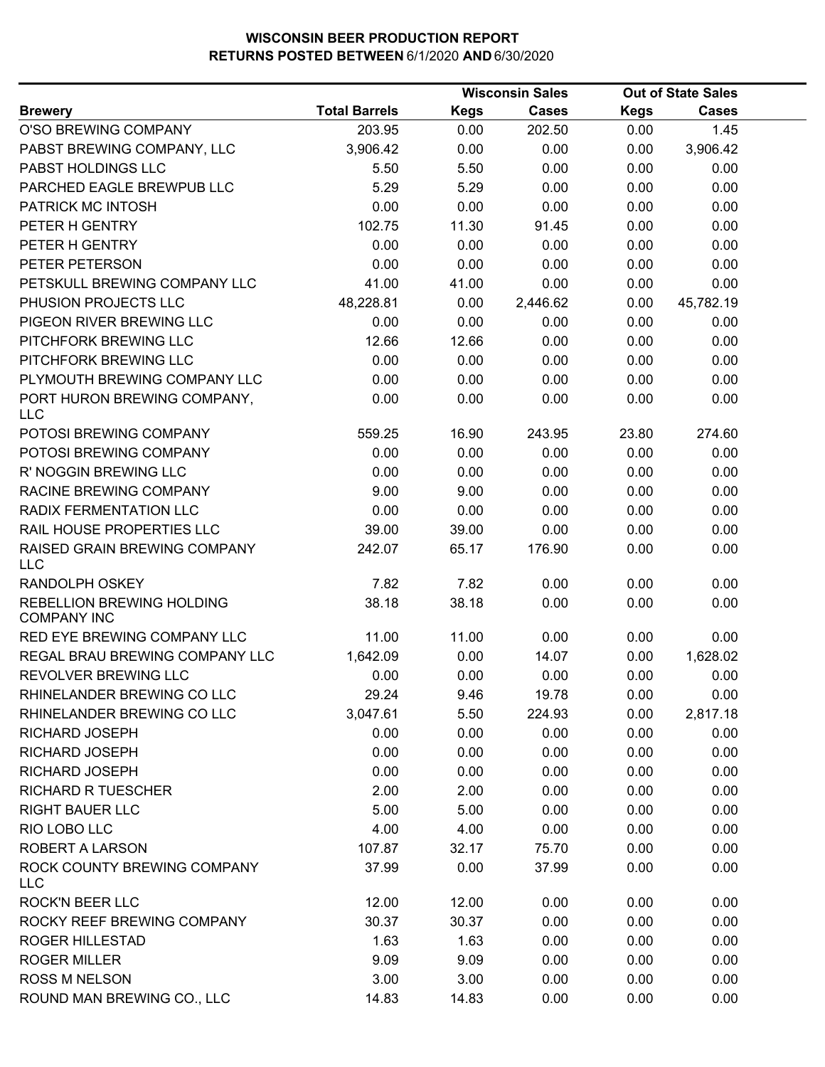|                                                 |                      | <b>Wisconsin Sales</b> |              |             | <b>Out of State Sales</b> |  |
|-------------------------------------------------|----------------------|------------------------|--------------|-------------|---------------------------|--|
| <b>Brewery</b>                                  | <b>Total Barrels</b> | <b>Kegs</b>            | <b>Cases</b> | <b>Kegs</b> | <b>Cases</b>              |  |
| O'SO BREWING COMPANY                            | 203.95               | 0.00                   | 202.50       | 0.00        | 1.45                      |  |
| PABST BREWING COMPANY, LLC                      | 3,906.42             | 0.00                   | 0.00         | 0.00        | 3,906.42                  |  |
| PABST HOLDINGS LLC                              | 5.50                 | 5.50                   | 0.00         | 0.00        | 0.00                      |  |
| PARCHED EAGLE BREWPUB LLC                       | 5.29                 | 5.29                   | 0.00         | 0.00        | 0.00                      |  |
| PATRICK MC INTOSH                               | 0.00                 | 0.00                   | 0.00         | 0.00        | 0.00                      |  |
| PETER H GENTRY                                  | 102.75               | 11.30                  | 91.45        | 0.00        | 0.00                      |  |
| PETER H GENTRY                                  | 0.00                 | 0.00                   | 0.00         | 0.00        | 0.00                      |  |
| PETER PETERSON                                  | 0.00                 | 0.00                   | 0.00         | 0.00        | 0.00                      |  |
| PETSKULL BREWING COMPANY LLC                    | 41.00                | 41.00                  | 0.00         | 0.00        | 0.00                      |  |
| PHUSION PROJECTS LLC                            | 48,228.81            | 0.00                   | 2,446.62     | 0.00        | 45,782.19                 |  |
| PIGEON RIVER BREWING LLC                        | 0.00                 | 0.00                   | 0.00         | 0.00        | 0.00                      |  |
| PITCHFORK BREWING LLC                           | 12.66                | 12.66                  | 0.00         | 0.00        | 0.00                      |  |
| PITCHFORK BREWING LLC                           | 0.00                 | 0.00                   | 0.00         | 0.00        | 0.00                      |  |
| PLYMOUTH BREWING COMPANY LLC                    | 0.00                 | 0.00                   | 0.00         | 0.00        | 0.00                      |  |
| PORT HURON BREWING COMPANY,<br><b>LLC</b>       | 0.00                 | 0.00                   | 0.00         | 0.00        | 0.00                      |  |
| POTOSI BREWING COMPANY                          | 559.25               | 16.90                  | 243.95       | 23.80       | 274.60                    |  |
| POTOSI BREWING COMPANY                          | 0.00                 | 0.00                   | 0.00         | 0.00        | 0.00                      |  |
| R' NOGGIN BREWING LLC                           | 0.00                 | 0.00                   | 0.00         | 0.00        | 0.00                      |  |
| RACINE BREWING COMPANY                          | 9.00                 | 9.00                   | 0.00         | 0.00        | 0.00                      |  |
| RADIX FERMENTATION LLC                          | 0.00                 | 0.00                   | 0.00         | 0.00        | 0.00                      |  |
| RAIL HOUSE PROPERTIES LLC                       | 39.00                | 39.00                  | 0.00         | 0.00        | 0.00                      |  |
| RAISED GRAIN BREWING COMPANY<br><b>LLC</b>      | 242.07               | 65.17                  | 176.90       | 0.00        | 0.00                      |  |
| RANDOLPH OSKEY                                  | 7.82                 | 7.82                   | 0.00         | 0.00        | 0.00                      |  |
| REBELLION BREWING HOLDING<br><b>COMPANY INC</b> | 38.18                | 38.18                  | 0.00         | 0.00        | 0.00                      |  |
| RED EYE BREWING COMPANY LLC                     | 11.00                | 11.00                  | 0.00         | 0.00        | 0.00                      |  |
| REGAL BRAU BREWING COMPANY LLC                  | 1,642.09             | 0.00                   | 14.07        | 0.00        | 1,628.02                  |  |
| REVOLVER BREWING LLC                            | 0.00                 | 0.00                   | 0.00         | 0.00        | 0.00                      |  |
| RHINELANDER BREWING CO LLC                      | 29.24                | 9.46                   | 19.78        | 0.00        | 0.00                      |  |
| RHINELANDER BREWING CO LLC                      | 3,047.61             | 5.50                   | 224.93       | 0.00        | 2,817.18                  |  |
| <b>RICHARD JOSEPH</b>                           | 0.00                 | 0.00                   | 0.00         | 0.00        | 0.00                      |  |
| <b>RICHARD JOSEPH</b>                           | 0.00                 | 0.00                   | 0.00         | 0.00        | 0.00                      |  |
| RICHARD JOSEPH                                  | 0.00                 | 0.00                   | 0.00         | 0.00        | 0.00                      |  |
| <b>RICHARD R TUESCHER</b>                       | 2.00                 | 2.00                   | 0.00         | 0.00        | 0.00                      |  |
| <b>RIGHT BAUER LLC</b>                          | 5.00                 | 5.00                   | 0.00         | 0.00        | 0.00                      |  |
| RIO LOBO LLC                                    | 4.00                 | 4.00                   | 0.00         | 0.00        | 0.00                      |  |
| <b>ROBERT A LARSON</b>                          | 107.87               | 32.17                  | 75.70        | 0.00        | 0.00                      |  |
| ROCK COUNTY BREWING COMPANY<br><b>LLC</b>       | 37.99                | 0.00                   | 37.99        | 0.00        | 0.00                      |  |
| <b>ROCK'N BEER LLC</b>                          | 12.00                | 12.00                  | 0.00         | 0.00        | 0.00                      |  |
| ROCKY REEF BREWING COMPANY                      | 30.37                | 30.37                  | 0.00         | 0.00        | 0.00                      |  |
| ROGER HILLESTAD                                 | 1.63                 | 1.63                   | 0.00         | 0.00        | 0.00                      |  |
| <b>ROGER MILLER</b>                             | 9.09                 | 9.09                   | 0.00         | 0.00        | 0.00                      |  |
| <b>ROSS M NELSON</b>                            | 3.00                 | 3.00                   | 0.00         | 0.00        | 0.00                      |  |
| ROUND MAN BREWING CO., LLC                      | 14.83                | 14.83                  | 0.00         | 0.00        | 0.00                      |  |
|                                                 |                      |                        |              |             |                           |  |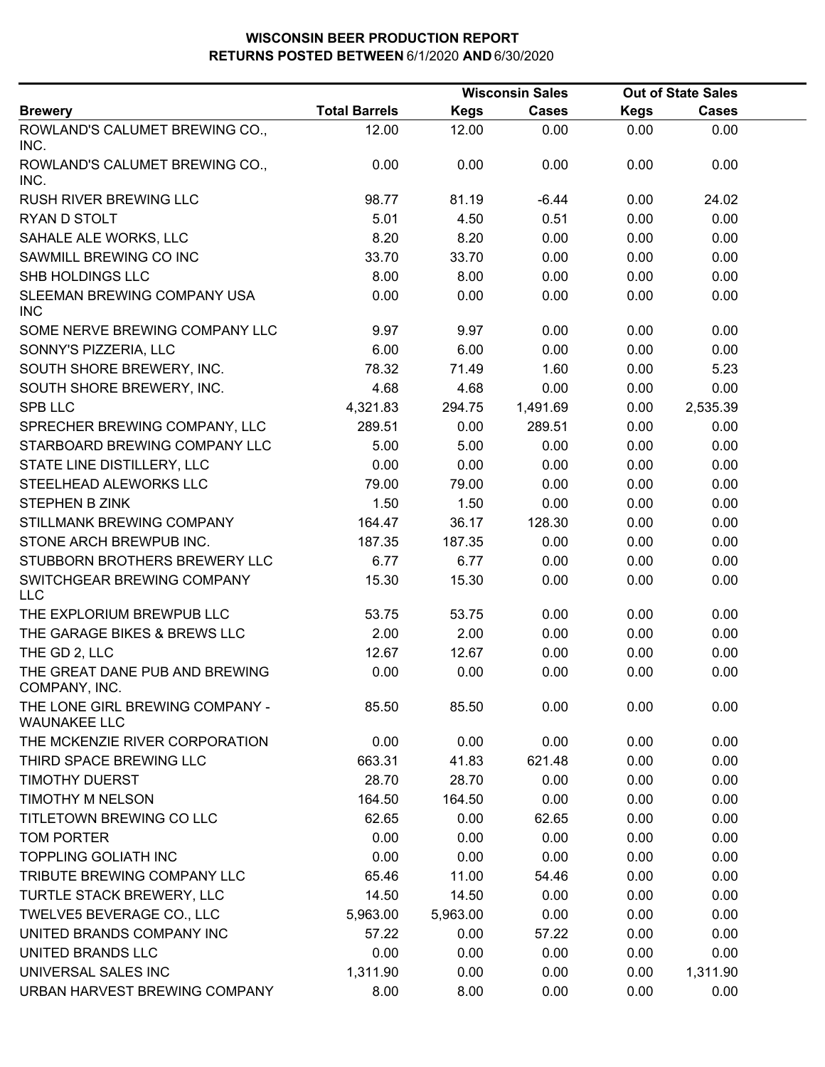|                                                        |                      | <b>Wisconsin Sales</b> |              | <b>Out of State Sales</b> |              |  |
|--------------------------------------------------------|----------------------|------------------------|--------------|---------------------------|--------------|--|
| <b>Brewery</b>                                         | <b>Total Barrels</b> | <b>Kegs</b>            | <b>Cases</b> | <b>Kegs</b>               | <b>Cases</b> |  |
| ROWLAND'S CALUMET BREWING CO.,<br>INC.                 | 12.00                | 12.00                  | 0.00         | 0.00                      | 0.00         |  |
| ROWLAND'S CALUMET BREWING CO.,<br>INC.                 | 0.00                 | 0.00                   | 0.00         | 0.00                      | 0.00         |  |
| <b>RUSH RIVER BREWING LLC</b>                          | 98.77                | 81.19                  | $-6.44$      | 0.00                      | 24.02        |  |
| RYAN D STOLT                                           | 5.01                 | 4.50                   | 0.51         | 0.00                      | 0.00         |  |
| SAHALE ALE WORKS, LLC                                  | 8.20                 | 8.20                   | 0.00         | 0.00                      | 0.00         |  |
| SAWMILL BREWING CO INC                                 | 33.70                | 33.70                  | 0.00         | 0.00                      | 0.00         |  |
| SHB HOLDINGS LLC                                       | 8.00                 | 8.00                   | 0.00         | 0.00                      | 0.00         |  |
| SLEEMAN BREWING COMPANY USA<br><b>INC</b>              | 0.00                 | 0.00                   | 0.00         | 0.00                      | 0.00         |  |
| SOME NERVE BREWING COMPANY LLC                         | 9.97                 | 9.97                   | 0.00         | 0.00                      | 0.00         |  |
| SONNY'S PIZZERIA, LLC                                  | 6.00                 | 6.00                   | 0.00         | 0.00                      | 0.00         |  |
| SOUTH SHORE BREWERY, INC.                              | 78.32                | 71.49                  | 1.60         | 0.00                      | 5.23         |  |
| SOUTH SHORE BREWERY, INC.                              | 4.68                 | 4.68                   | 0.00         | 0.00                      | 0.00         |  |
| <b>SPB LLC</b>                                         | 4,321.83             | 294.75                 | 1,491.69     | 0.00                      | 2,535.39     |  |
| SPRECHER BREWING COMPANY, LLC                          | 289.51               | 0.00                   | 289.51       | 0.00                      | 0.00         |  |
| STARBOARD BREWING COMPANY LLC                          | 5.00                 | 5.00                   | 0.00         | 0.00                      | 0.00         |  |
| STATE LINE DISTILLERY, LLC                             | 0.00                 | 0.00                   | 0.00         | 0.00                      | 0.00         |  |
| STEELHEAD ALEWORKS LLC                                 | 79.00                | 79.00                  | 0.00         | 0.00                      | 0.00         |  |
| <b>STEPHEN B ZINK</b>                                  | 1.50                 | 1.50                   | 0.00         | 0.00                      | 0.00         |  |
| STILLMANK BREWING COMPANY                              | 164.47               | 36.17                  | 128.30       | 0.00                      | 0.00         |  |
| STONE ARCH BREWPUB INC.                                | 187.35               | 187.35                 | 0.00         | 0.00                      | 0.00         |  |
| STUBBORN BROTHERS BREWERY LLC                          | 6.77                 | 6.77                   | 0.00         | 0.00                      | 0.00         |  |
| SWITCHGEAR BREWING COMPANY<br><b>LLC</b>               | 15.30                | 15.30                  | 0.00         | 0.00                      | 0.00         |  |
| THE EXPLORIUM BREWPUB LLC                              | 53.75                | 53.75                  | 0.00         | 0.00                      | 0.00         |  |
| THE GARAGE BIKES & BREWS LLC                           | 2.00                 | 2.00                   | 0.00         | 0.00                      | 0.00         |  |
| THE GD 2, LLC                                          | 12.67                | 12.67                  | 0.00         | 0.00                      | 0.00         |  |
| THE GREAT DANE PUB AND BREWING<br>COMPANY, INC.        | 0.00                 | 0.00                   | 0.00         | 0.00                      | 0.00         |  |
| THE LONE GIRL BREWING COMPANY -<br><b>WAUNAKEE LLC</b> | 85.50                | 85.50                  | 0.00         | 0.00                      | 0.00         |  |
| THE MCKENZIE RIVER CORPORATION                         | 0.00                 | 0.00                   | 0.00         | 0.00                      | 0.00         |  |
| THIRD SPACE BREWING LLC                                | 663.31               | 41.83                  | 621.48       | 0.00                      | 0.00         |  |
| <b>TIMOTHY DUERST</b>                                  | 28.70                | 28.70                  | 0.00         | 0.00                      | 0.00         |  |
| <b>TIMOTHY M NELSON</b>                                | 164.50               | 164.50                 | 0.00         | 0.00                      | 0.00         |  |
| TITLETOWN BREWING CO LLC                               | 62.65                | 0.00                   | 62.65        | 0.00                      | 0.00         |  |
| <b>TOM PORTER</b>                                      | 0.00                 | 0.00                   | 0.00         | 0.00                      | 0.00         |  |
| <b>TOPPLING GOLIATH INC</b>                            | 0.00                 | 0.00                   | 0.00         | 0.00                      | 0.00         |  |
| TRIBUTE BREWING COMPANY LLC                            | 65.46                | 11.00                  | 54.46        | 0.00                      | 0.00         |  |
| TURTLE STACK BREWERY, LLC                              | 14.50                | 14.50                  | 0.00         | 0.00                      | 0.00         |  |
| TWELVE5 BEVERAGE CO., LLC                              | 5,963.00             | 5,963.00               | 0.00         | 0.00                      | 0.00         |  |
| UNITED BRANDS COMPANY INC                              | 57.22                | 0.00                   | 57.22        | 0.00                      | 0.00         |  |
| UNITED BRANDS LLC                                      | 0.00                 | 0.00                   | 0.00         | 0.00                      | 0.00         |  |
| UNIVERSAL SALES INC                                    | 1,311.90             | 0.00                   | 0.00         | 0.00                      | 1,311.90     |  |
| URBAN HARVEST BREWING COMPANY                          | 8.00                 | 8.00                   | 0.00         | 0.00                      | 0.00         |  |